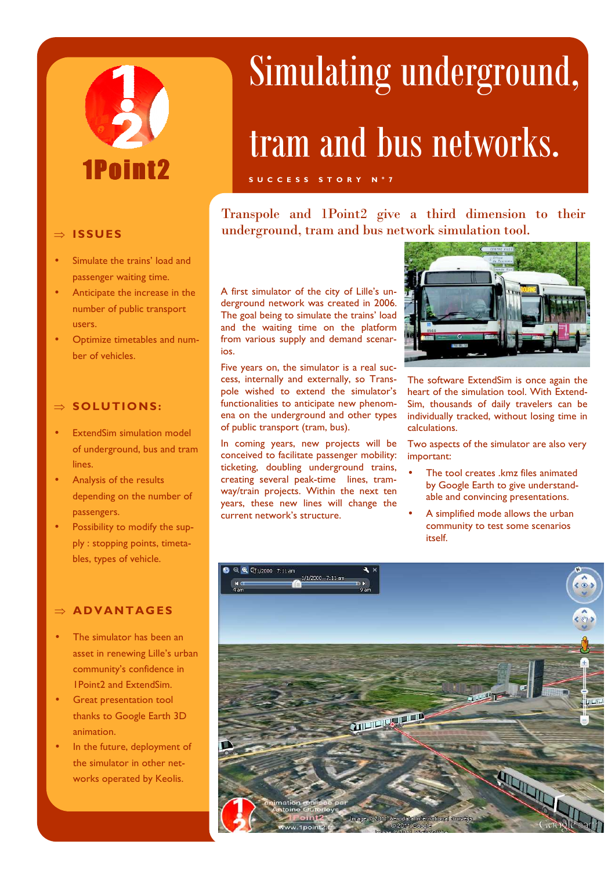# 1Pnint?

#### ⇒ **ISSUES**

- Simulate the trains' load and passenger waiting time.
- Anticipate the increase in the number of public transport users.
- Optimize timetables and number of vehicles.

#### ⇒ **SOLUTIONS:**

- **ExtendSim simulation model** of underground, bus and tram lines.
- Analysis of the results depending on the number of passengers.
- Possibility to modify the supply : stopping points, timetables, types of vehicle.

#### ⇒ **AD VANTAG ES**

- The simulator has been an asset in renewing Lille's urban community's confidence in 1Point2 and ExtendSim.
- Great presentation tool thanks to Google Earth 3D animation.
- In the future, deployment of the simulator in other networks operated by Keolis.

## Simulating underground,

### tram and bus networks.

#### **S U C C E S S S T O R Y N ° 7**

Transpole and 1Point2 give a third dimension to their underground, tram and bus network simulation tool.

A first simulator of the city of Lille's underground network was created in 2006. The goal being to simulate the trains' load and the waiting time on the platform from various supply and demand scenarios.

Five years on, the simulator is a real success, internally and externally, so Transpole wished to extend the simulator's functionalities to anticipate new phenomena on the underground and other types of public transport (tram, bus).

In coming years, new projects will be conceived to facilitate passenger mobility: ticketing, doubling underground trains, creating several peak-time lines, tramway/train projects. Within the next ten years, these new lines will change the current network's structure.



The software ExtendSim is once again the heart of the simulation tool. With Extend-Sim, thousands of daily travelers can be individually tracked, without losing time in calculations.

Two aspects of the simulator are also very important:

- The tool creates .kmz files animated by Google Earth to give understandable and convincing presentations.
- A simplified mode allows the urban community to test some scenarios itself.